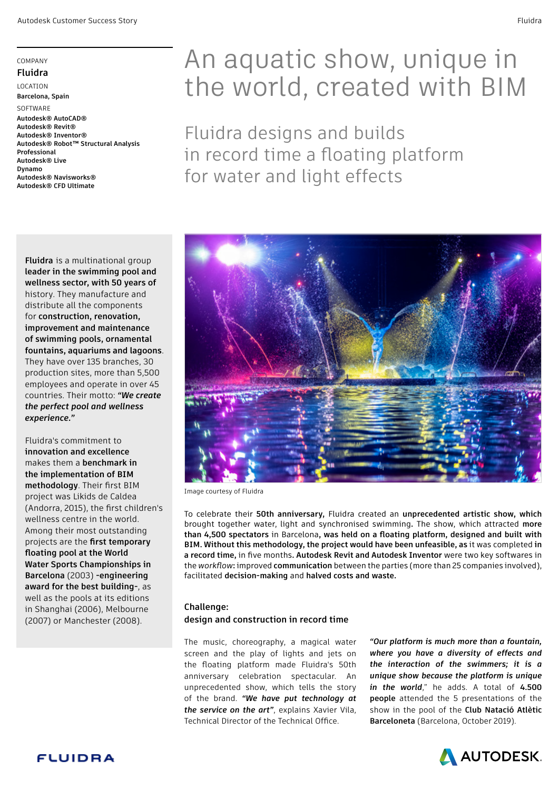#### COMPANY

### **Fluidra**

LOCATION **Barcelona, Spain** 

SOFTWARE **Autodesk® AutoCAD® Autodesk® Revit® Autodesk® Inventor® Autodesk® Robot™ Structural Analysis Professional Autodesk® Live Dynamo Autodesk® Navisworks®**

**Autodesk® CFD Ultimate**

**Fluidra** is a multinational group **leader in the swimming pool and wellness sector, with 50 years of** history. They manufacture and distribute all the components for **construction, renovation, improvement and maintenance of swimming pools, ornamental fountains, aquariums and lagoons**. They have over 135 branches, 30 production sites, more than 5,500 employees and operate in over 45 countries. Their motto: *"We create the perfect pool and wellness experience."*

Fluidra's commitment to **innovation and excellence** makes them a **benchmark in the implementation of BIM methodology**. Their first BIM project was Likids de Caldea (Andorra, 2015), the first children's wellness centre in the world. Among their most outstanding projects are the **first temporary floating pool at the World Water Sports Championships in Barcelona** (2003) **-engineering award for the best building-**, as well as the pools at its editions in Shanghai (2006), Melbourne (2007) or Manchester (2008).

# An aquatic show, unique in the world, created with BIM

Fluidra designs and builds in record time a floating platform for water and light effects



Image courtesy of Fluidra

To celebrate their **50th anniversary,** Fluidra created an **unprecedented artistic show, which**  brought together water, light and synchronised swimming**.** The show, which attracted **more than 4,500 spectators** in Barcelona**, was held on a floating platform, designed and built with BIM. Without this methodology, the project would have been unfeasible, as** it was completed **in a record time,** in five months**. Autodesk Revit and Autodesk Inventor** were two key softwares in the *workflow***:** improved **communication** between the parties (more than 25 companies involved), facilitated **decision-making** and **halved costs and waste.** 

#### **Challenge:**

#### **design and construction in record time**

The music, choreography, a magical water screen and the play of lights and jets on the floating platform made Fluidra's 50th anniversary celebration spectacular. An unprecedented show, which tells the story of the brand. *"We have put technology at the service on the art"*, explains Xavier Vila, Technical Director of the Technical Office.

*"Our platform is much more than a fountain, where you have a diversity of effects and the interaction of the swimmers; it is a unique show because the platform is unique in the world*," he adds. A total of **4.500 people** attended the 5 presentations of the show in the pool of the **Club Natació Atlètic Barceloneta** (Barcelona, October 2019).

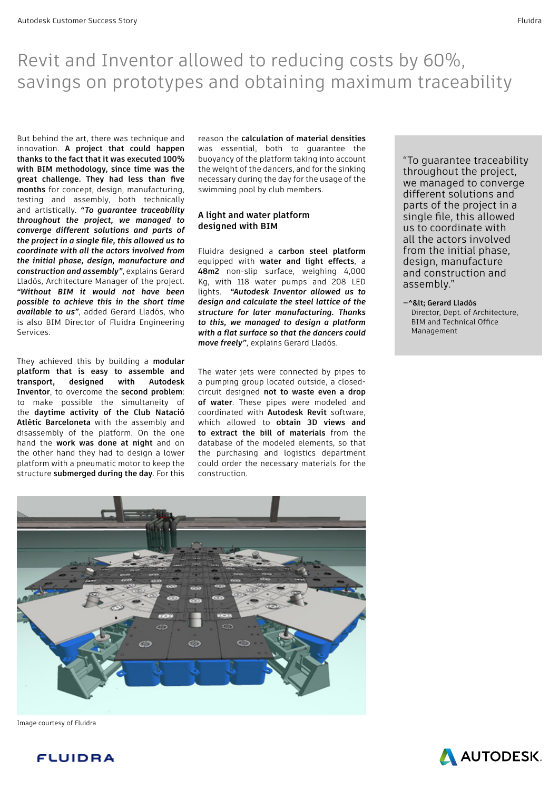# Revit and Inventor allowed to reducing costs by 60%, savings on prototypes and obtaining maximum traceability

But behind the art, there was technique and innovation. **A project that could happen thanks to the fact that it was executed 100% with BIM methodology, since time was the great challenge. They had less than five months** for concept, design, manufacturing, testing and assembly, both technically and artistically. *"To guarantee traceability throughout the project, we managed to converge different solutions and parts of the project in a single file, this allowed us to coordinate with all the actors involved from the initial phase, design, manufacture and construction and assembly"*, explains Gerard Lladós, Architecture Manager of the project. *"Without BIM it would not have been possible to achieve this in the short time available to us"*, added Gerard Lladós, who is also BIM Director of Fluidra Engineering Services.

They achieved this by building a **modular platform that is easy to assemble and transport, designed with Autodesk Inventor**, to overcome the **second problem**: to make possible the simultaneity of the **daytime activity of the Club Natació Atlètic Barceloneta** with the assembly and disassembly of the platform. On the one hand the **work was done at night** and on the other hand they had to design a lower platform with a pneumatic motor to keep the structure **submerged during the day**. For this reason the **calculation of material densities** was essential, both to guarantee the buoyancy of the platform taking into account the weight of the dancers, and for the sinking necessary during the day for the usage of the swimming pool by club members.

### **A light and water platform designed with BIM**

Fluidra designed a **carbon steel platform** equipped with **water and light effects**, a **48m2** non-slip surface, weighing 4,000 Kg, with 118 water pumps and 208 LED lights. *"Autodesk Inventor allowed us to design and calculate the steel lattice of the structure for later manufacturing. Thanks to this, we managed to design a platform with a flat surface so that the dancers could move freely"*, explains Gerard Lladós.

The water jets were connected by pipes to a pumping group located outside, a closedcircuit designed **not to waste even a drop of water**. These pipes were modeled and coordinated with **Autodesk Revit** software, which allowed to **obtain 3D views and to extract the bill of materials** from the database of the modeled elements, so that the purchasing and logistics department could order the necessary materials for the construction.

"To guarantee traceability throughout the project, we managed to converge different solutions and parts of the project in a single file, this allowed us to coordinate with all the actors involved from the initial phase, design, manufacture and construction and assembly."

**—^< Gerard Lladós**  Director, Dept. of Architecture, BIM and Technical Office Management



Image courtesy of Fluidra

**FLUIDRA** 

**AN AUTODESK.**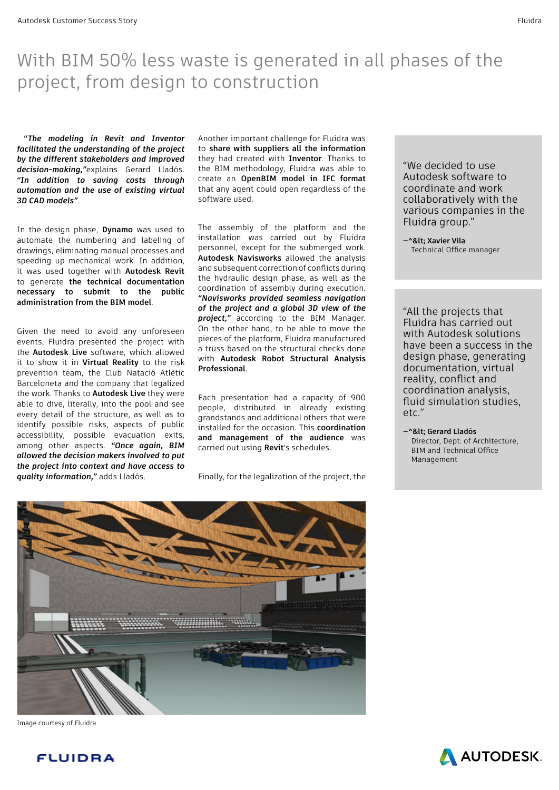# With BIM 50% less waste is generated in all phases of the project, from design to construction

*"The modeling in Revit and Inventor facilitated the understanding of the project by the different stakeholders and improved decision-making,"*explains Gerard Lladós. *"In addition to saving costs through automation and the use of existing virtual 3D CAD models"*.

In the design phase, **Dynamo** was used to automate the numbering and labeling of drawings, eliminating manual processes and speeding up mechanical work. In addition, it was used together with **Autodesk Revit** to generate **the technical documentation necessary to submit to the public administration from the BIM model**.

Given the need to avoid any unforeseen events, Fluidra presented the project with the **Autodesk Live** software, which allowed it to show it in **Virtual Reality** to the risk prevention team, the Club Natació Atlètic Barceloneta and the company that legalized the work. Thanks to **Autodesk Live** they were able to dive, literally, into the pool and see every detail of the structure, as well as to identify possible risks, aspects of public accessibility, possible evacuation exits, among other aspects. *"Once again, BIM allowed the decision makers involved to put the project into context and have access to quality information,"* adds Lladós.

Another important challenge for Fluidra was to **share with suppliers all the information** they had created with **Inventor**. Thanks to the BIM methodology, Fluidra was able to create an **OpenBIM model in IFC format** that any agent could open regardless of the software used.

The assembly of the platform and the installation was carried out by Fluidra personnel, except for the submerged work. **Autodesk Navisworks** allowed the analysis and subsequent correction of conflicts during the hydraulic design phase, as well as the coordination of assembly during execution. *"Navisworks provided seamless navigation of the project and a global 3D view of the project,"* according to the BIM Manager. On the other hand, to be able to move the pieces of the platform, Fluidra manufactured a truss based on the structural checks done with **Autodesk Robot Structural Analysis Professional**.

Each presentation had a capacity of 900 people, distributed in already existing grandstands and additional others that were installed for the occasion. This **coordination and management of the audience** was carried out using **Revit**'s schedules.

Finally, for the legalization of the project, the

"We decided to use Autodesk software to coordinate and work collaboratively with the various companies in the Fluidra group."

-^&lt: Xavier Vila Technical Office manager

"All the projects that Fluidra has carried out with Autodesk solutions have been a success in the design phase, generating documentation, virtual reality, conflict and coordination analysis, fluid simulation studies, etc."

**—^< Gerard Lladós**  Director, Dept. of Architecture, BIM and Technical Office Management



Image courtesy of Fluidra

**FLUIDRA** 

**AN AUTODESK.**